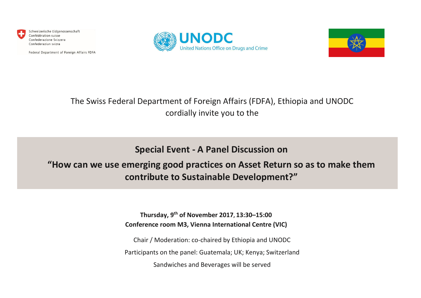

Schweizerische Eidgenossenschaft Confédération suisse Confederazione Svizzera Confederaziun svizra

Federal Department of Foreign Affairs FDFA





## The Swiss Federal Department of Foreign Affairs (FDFA), Ethiopia and UNODC cordially invite you to the

**Special Event - A Panel Discussion on**

## **"How can we use emerging good practices on Asset Return so as to make them contribute to Sustainable Development?"**

**Thursday, 9th of November 2017, 13:30–15:00 Conference room M3, Vienna International Centre (VIC)**

Chair / Moderation: co-chaired by Ethiopia and UNODC Participants on the panel: Guatemala; UK; Kenya; Switzerland Sandwiches and Beverages will be served